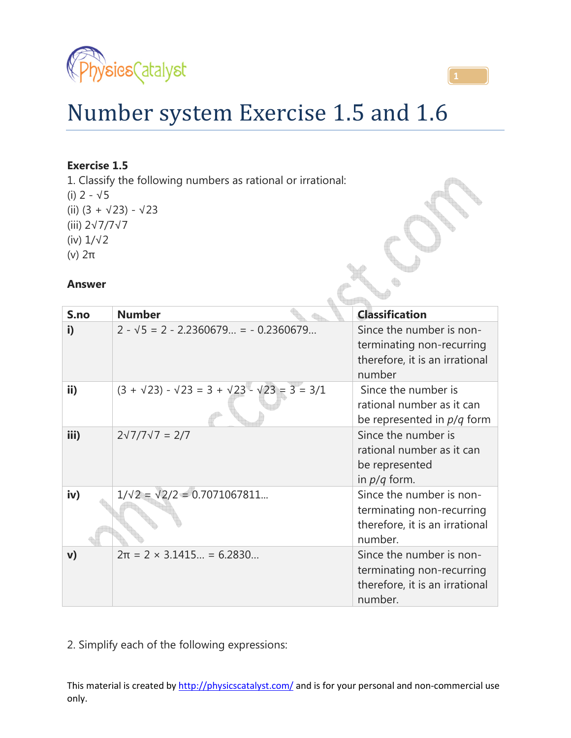



# Number system Exercise 1.5 and 1.6

# **Exercise 1.5**

1. Classify the following numbers as rational or irrational: (i)  $2 - \sqrt{5}$ (ii) (3 + √23) - √23 (iii) 2√7/7√7 (iv) 1/√2 (v) 2π

## **Answer**

| S <sub>n</sub> | <b>Number</b>                                                       | <b>Classification</b>                                                                              |
|----------------|---------------------------------------------------------------------|----------------------------------------------------------------------------------------------------|
| i)             | $2 - \sqrt{5} = 2 - 2.2360679 = -0.2360679$                         | Since the number is non-<br>terminating non-recurring<br>therefore, it is an irrational<br>number  |
| ii)            | $(3 + \sqrt{23}) - \sqrt{23} = 3 + \sqrt{23} - \sqrt{23} = 3 = 3/1$ | Since the number is<br>rational number as it can<br>be represented in <i>p/q</i> form              |
| iii)           | $2\sqrt{7}/7\sqrt{7} = 2/7$                                         | Since the number is<br>rational number as it can<br>be represented<br>in $p/q$ form.               |
| iv)            | $1/\sqrt{2} = \sqrt{2}/2 = 0.7071067811$                            | Since the number is non-<br>terminating non-recurring<br>therefore, it is an irrational<br>number. |
| $\mathbf{v}$   | $2\pi = 2 \times 3.1415 = 6.2830$                                   | Since the number is non-<br>terminating non-recurring<br>therefore, it is an irrational<br>number. |

2. Simplify each of the following expressions: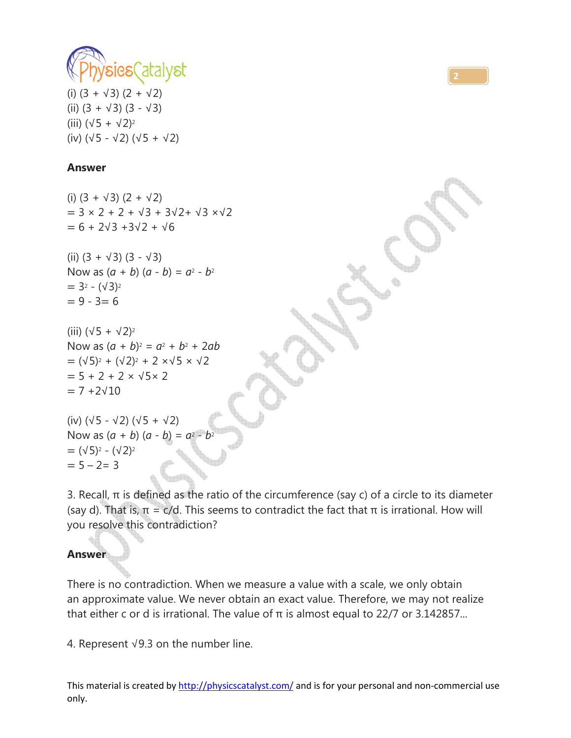

(i)  $(3 + \sqrt{3}) (2 + \sqrt{2})$ (ii)  $(3 + \sqrt{3})$   $(3 - \sqrt{3})$ (iii)  $(\sqrt{5} + \sqrt{2})^2$ (iv) (√5 - √2) (√5 + √2)

## **Answer**

(i)  $(3 + \sqrt{3}) (2 + \sqrt{2})$  $= 3 \times 2 + 2 + \sqrt{3} + 3\sqrt{2} + \sqrt{3} \times \sqrt{2}$  $= 6 + 2\sqrt{3} + 3\sqrt{2} + \sqrt{6}$ 

(ii)  $(3 + \sqrt{3})$   $(3 - \sqrt{3})$ Now as  $(a + b)$   $(a - b) = a^2 - b^2$  $= 3<sup>2</sup> - (\sqrt{3})<sup>2</sup>$  $= 9 - 3 = 6$ 

(iii)  $(\sqrt{5} + \sqrt{2})^2$ Now as  $(a + b)^2 = a^2 + b^2 + 2ab$  $= (\sqrt{5})^2 + (\sqrt{2})^2 + 2 \times \sqrt{5} \times \sqrt{2}$  $= 5 + 2 + 2 \times \sqrt{5 \times 2}$  $= 7 + 2 \sqrt{10}$ 

```
(iv) (√5 - √2) (√5 + √2) 
Now as (a + b) (a - b) = a^2-b<sup>2</sup>= (\sqrt{5})^2 - (\sqrt{2})^2= 5 - 2 = 3
```
3. Recall,  $\pi$  is defined as the ratio of the circumference (say c) of a circle to its diameter (say d). That is,  $\pi = c/d$ . This seems to contradict the fact that  $\pi$  is irrational. How will you resolve this contradiction?

**2**

# **Answer**

There is no contradiction. When we measure a value with a scale, we only obtain an approximate value. We never obtain an exact value. Therefore, we may not realize that either c or d is irrational. The value of  $π$  is almost equal to 22/7 or 3.142857...

4. Represent √9.3 on the number line.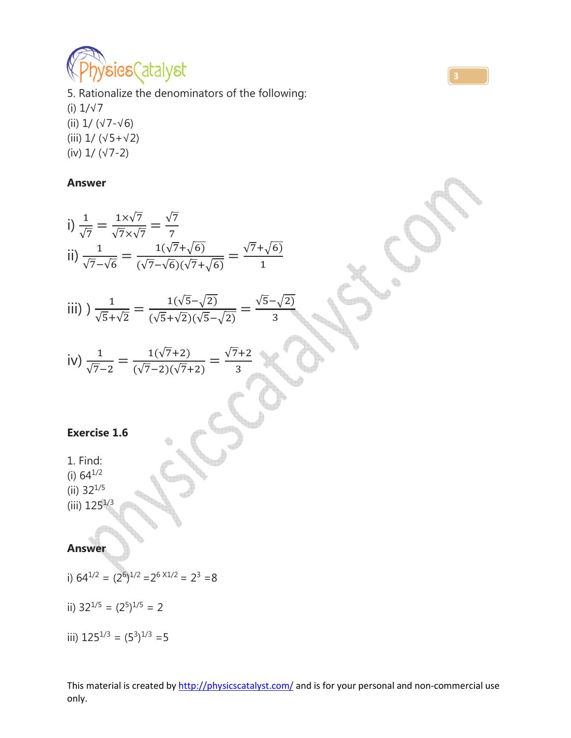

5. Rationalize the denominators of the following: (i) 1/√7 (ii) 1/ (√7-√6) (iii) 1/ (√5+√2) (iv) 1/ (√7-2)

#### **Answer**

i) 
$$
\frac{1}{\sqrt{7}} = \frac{1 \times \sqrt{7}}{\sqrt{7} \times \sqrt{7}} = \frac{\sqrt{7}}{7}
$$
  
\nii)  $\frac{1}{\sqrt{7} - \sqrt{6}} = \frac{1(\sqrt{7} + \sqrt{6})}{(\sqrt{7} - \sqrt{6})(\sqrt{7} + \sqrt{6})} = \frac{\sqrt{7} + \sqrt{6}}{1}$   
\niii)  $) \frac{1}{\sqrt{5} + \sqrt{2}} = \frac{1(\sqrt{5} - \sqrt{2})}{(\sqrt{5} + \sqrt{2})(\sqrt{5} - \sqrt{2})} = \frac{\sqrt{5} - \sqrt{2}}{3}$   
\niv)  $\frac{1}{\sqrt{7} - 2} = \frac{1(\sqrt{7} + 2)}{(\sqrt{7} - 2)(\sqrt{7} + 2)} = \frac{\sqrt{7} + 2}{3}$   
\nExercise 1.6  
\n1. Find:  
\n(i) 64<sup>1/2</sup>  
\n(ii) 32<sup>1/5</sup>  
\n(iii) 125<sup>1/3</sup>  
\n(ii) 125<sup>1/3</sup>

# **Answer**

- i)  $64^{1/2} = (2^6)^{1/2} = 2^6 \times 1/2 = 2^3 = 8$
- ii)  $32^{1/5} = (2^5)^{1/5} = 2$
- iii)  $125^{1/3} = (5^3)^{1/3} = 5$